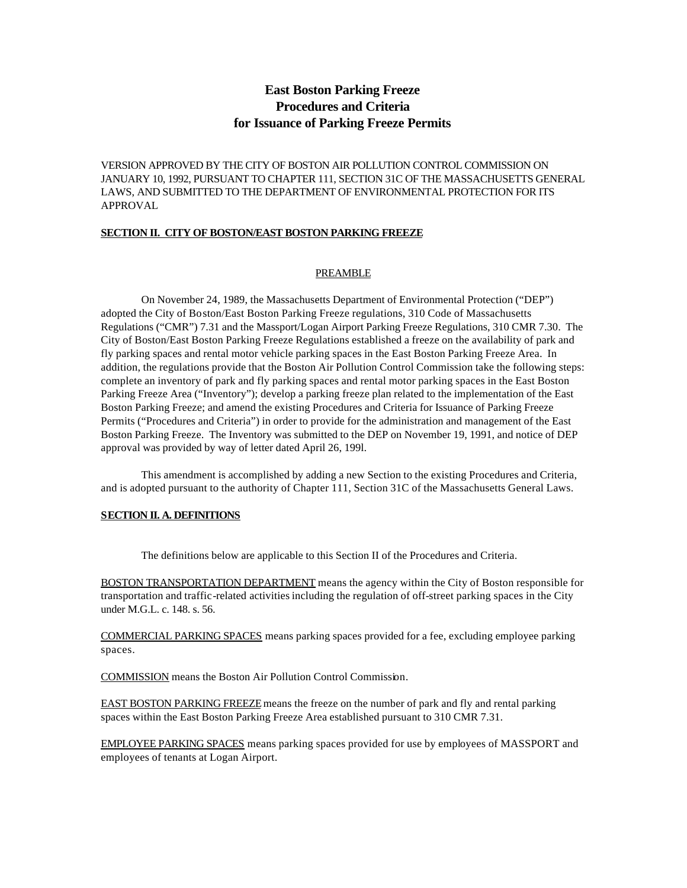# **East Boston Parking Freeze Procedures and Criteria for Issuance of Parking Freeze Permits**

VERSION APPROVED BY THE CITY OF BOSTON AIR POLLUTION CONTROL COMMISSION ON JANUARY 10, 1992, PURSUANT TO CHAPTER 111, SECTION 31C OF THE MASSACHUSETTS GENERAL LAWS, AND SUBMITTED TO THE DEPARTMENT OF ENVIRONMENTAL PROTECTION FOR ITS APPROVAL

#### **SECTION II. CITY OF BOSTON/EAST BOSTON PARKING FREEZE**

#### PREAMBLE

On November 24, 1989, the Massachusetts Department of Environmental Protection ("DEP") adopted the City of Boston/East Boston Parking Freeze regulations, 310 Code of Massachusetts Regulations ("CMR") 7.31 and the Massport/Logan Airport Parking Freeze Regulations, 310 CMR 7.30. The City of Boston/East Boston Parking Freeze Regulations established a freeze on the availability of park and fly parking spaces and rental motor vehicle parking spaces in the East Boston Parking Freeze Area. In addition, the regulations provide that the Boston Air Pollution Control Commission take the following steps: complete an inventory of park and fly parking spaces and rental motor parking spaces in the East Boston Parking Freeze Area ("Inventory"); develop a parking freeze plan related to the implementation of the East Boston Parking Freeze; and amend the existing Procedures and Criteria for Issuance of Parking Freeze Permits ("Procedures and Criteria") in order to provide for the administration and management of the East Boston Parking Freeze. The Inventory was submitted to the DEP on November 19, 1991, and notice of DEP approval was provided by way of letter dated April 26, 199l.

This amendment is accomplished by adding a new Section to the existing Procedures and Criteria, and is adopted pursuant to the authority of Chapter 111, Section 31C of the Massachusetts General Laws.

#### **SECTION II. A. DEFINITIONS**

The definitions below are applicable to this Section II of the Procedures and Criteria.

BOSTON TRANSPORTATION DEPARTMENT means the agency within the City of Boston responsible for transportation and traffic-related activities including the regulation of off-street parking spaces in the City under M.G.L. c. 148. s. 56.

COMMERCIAL PARKING SPACES means parking spaces provided for a fee, excluding employee parking spaces.

COMMISSION means the Boston Air Pollution Control Commission.

EAST BOSTON PARKING FREEZE means the freeze on the number of park and fly and rental parking spaces within the East Boston Parking Freeze Area established pursuant to 310 CMR 7.31.

EMPLOYEE PARKING SPACES means parking spaces provided for use by employees of MASSPORT and employees of tenants at Logan Airport.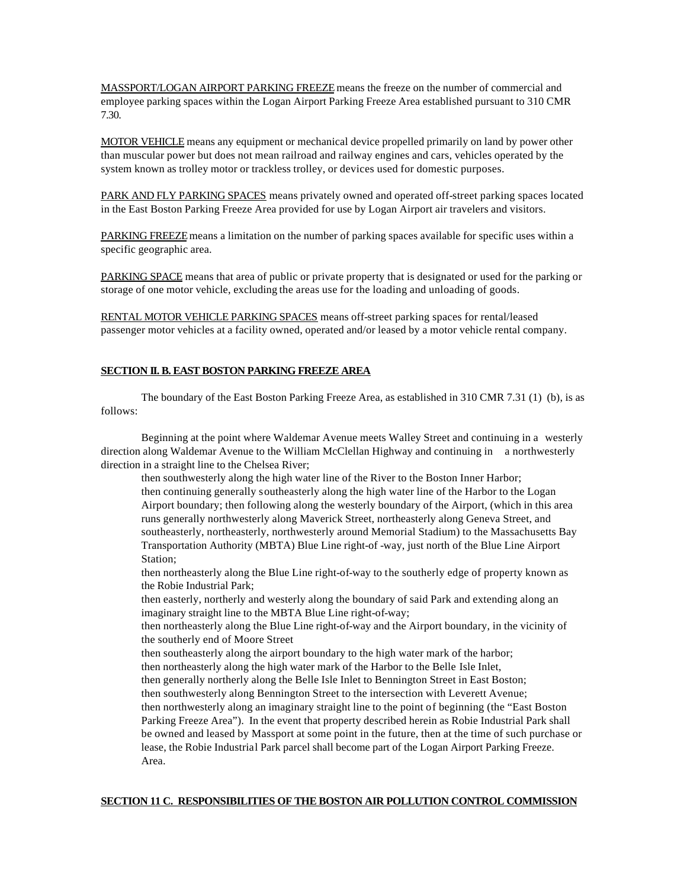MASSPORT/LOGAN AIRPORT PARKING FREEZE means the freeze on the number of commercial and employee parking spaces within the Logan Airport Parking Freeze Area established pursuant to 310 CMR 7.30.

MOTOR VEHICLE means any equipment or mechanical device propelled primarily on land by power other than muscular power but does not mean railroad and railway engines and cars, vehicles operated by the system known as trolley motor or trackless trolley, or devices used for domestic purposes.

PARK AND FLY PARKING SPACES means privately owned and operated off-street parking spaces located in the East Boston Parking Freeze Area provided for use by Logan Airport air travelers and visitors.

PARKING FREEZE means a limitation on the number of parking spaces available for specific uses within a specific geographic area.

PARKING SPACE means that area of public or private property that is designated or used for the parking or storage of one motor vehicle, excluding the areas use for the loading and unloading of goods.

RENTAL MOTOR VEHICLE PARKING SPACES means off-street parking spaces for rental/leased passenger motor vehicles at a facility owned, operated and/or leased by a motor vehicle rental company.

## **SECTION II. B. EAST BOSTON PARKING FREEZE AREA**

The boundary of the East Boston Parking Freeze Area, as established in 310 CMR 7.31 (1) (b), is as follows:

Beginning at the point where Waldemar Avenue meets Walley Street and continuing in a westerly direction along Waldemar Avenue to the William McClellan Highway and continuing in a northwesterly direction in a straight line to the Chelsea River;

then southwesterly along the high water line of the River to the Boston Inner Harbor; then continuing generally southeasterly along the high water line of the Harbor to the Logan Airport boundary; then following along the westerly boundary of the Airport, (which in this area runs generally northwesterly along Maverick Street, northeasterly along Geneva Street, and southeasterly, northeasterly, northwesterly around Memorial Stadium) to the Massachusetts Bay Transportation Authority (MBTA) Blue Line right-of -way, just north of the Blue Line Airport Station;

then northeasterly along the Blue Line right-of-way to the southerly edge of property known as the Robie Industrial Park;

then easterly, northerly and westerly along the boundary of said Park and extending along an imaginary straight line to the MBTA Blue Line right-of-way;

then northeasterly along the Blue Line right-of-way and the Airport boundary, in the vicinity of the southerly end of Moore Street

then southeasterly along the airport boundary to the high water mark of the harbor; then northeasterly along the high water mark of the Harbor to the Belle Isle Inlet,

then generally northerly along the Belle Isle Inlet to Bennington Street in East Boston; then southwesterly along Bennington Street to the intersection with Leverett Avenue;

then northwesterly along an imaginary straight line to the point of beginning (the "East Boston Parking Freeze Area"). In the event that property described herein as Robie Industrial Park shall be owned and leased by Massport at some point in the future, then at the time of such purchase or lease, the Robie Industrial Park parcel shall become part of the Logan Airport Parking Freeze. Area.

#### **SECTION 11 C. RESPONSIBILITIES OF THE BOSTON AIR POLLUTION CONTROL COMMISSION**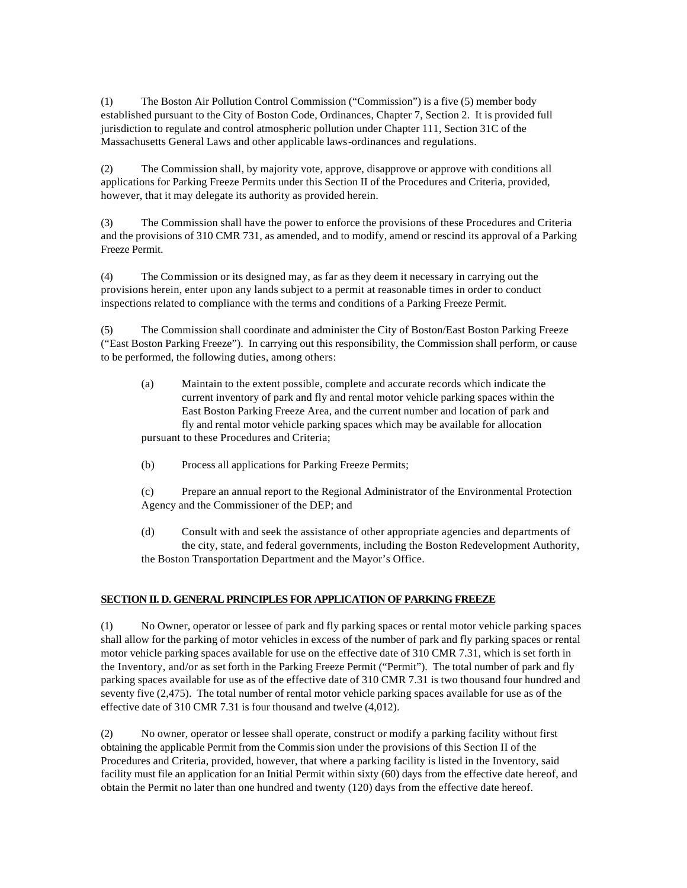(1) The Boston Air Pollution Control Commission ("Commission") is a five (5) member body established pursuant to the City of Boston Code, Ordinances, Chapter 7, Section 2. It is provided full jurisdiction to regulate and control atmospheric pollution under Chapter 111, Section 31C of the Massachusetts General Laws and other applicable laws-ordinances and regulations.

(2) The Commission shall, by majority vote, approve, disapprove or approve with conditions all applications for Parking Freeze Permits under this Section II of the Procedures and Criteria, provided, however, that it may delegate its authority as provided herein.

(3) The Commission shall have the power to enforce the provisions of these Procedures and Criteria and the provisions of 310 CMR 731, as amended, and to modify, amend or rescind its approval of a Parking Freeze Permit.

(4) The Commission or its designed may, as far as they deem it necessary in carrying out the provisions herein, enter upon any lands subject to a permit at reasonable times in order to conduct inspections related to compliance with the terms and conditions of a Parking Freeze Permit.

(5) The Commission shall coordinate and administer the City of Boston/East Boston Parking Freeze ("East Boston Parking Freeze"). In carrying out this responsibility, the Commission shall perform, or cause to be performed, the following duties, among others:

- (a) Maintain to the extent possible, complete and accurate records which indicate the current inventory of park and fly and rental motor vehicle parking spaces within the East Boston Parking Freeze Area, and the current number and location of park and fly and rental motor vehicle parking spaces which may be available for allocation pursuant to these Procedures and Criteria;
- (b) Process all applications for Parking Freeze Permits;

(c) Prepare an annual report to the Regional Administrator of the Environmental Protection Agency and the Commissioner of the DEP; and

(d) Consult with and seek the assistance of other appropriate agencies and departments of the city, state, and federal governments, including the Boston Redevelopment Authority, the Boston Transportation Department and the Mayor's Office.

## **SECTION II. D. GENERAL PRINCIPLES FOR APPLICATION OF PARKING FREEZE**

(1) No Owner, operator or lessee of park and fly parking spaces or rental motor vehicle parking spaces shall allow for the parking of motor vehicles in excess of the number of park and fly parking spaces or rental motor vehicle parking spaces available for use on the effective date of 310 CMR 7.31, which is set forth in the Inventory, and/or as set forth in the Parking Freeze Permit ("Permit"). The total number of park and fly parking spaces available for use as of the effective date of 310 CMR 7.31 is two thousand four hundred and seventy five (2,475). The total number of rental motor vehicle parking spaces available for use as of the effective date of 310 CMR 7.31 is four thousand and twelve (4,012).

(2) No owner, operator or lessee shall operate, construct or modify a parking facility without first obtaining the applicable Permit from the Commission under the provisions of this Section II of the Procedures and Criteria, provided, however, that where a parking facility is listed in the Inventory, said facility must file an application for an Initial Permit within sixty (60) days from the effective date hereof, and obtain the Permit no later than one hundred and twenty (120) days from the effective date hereof.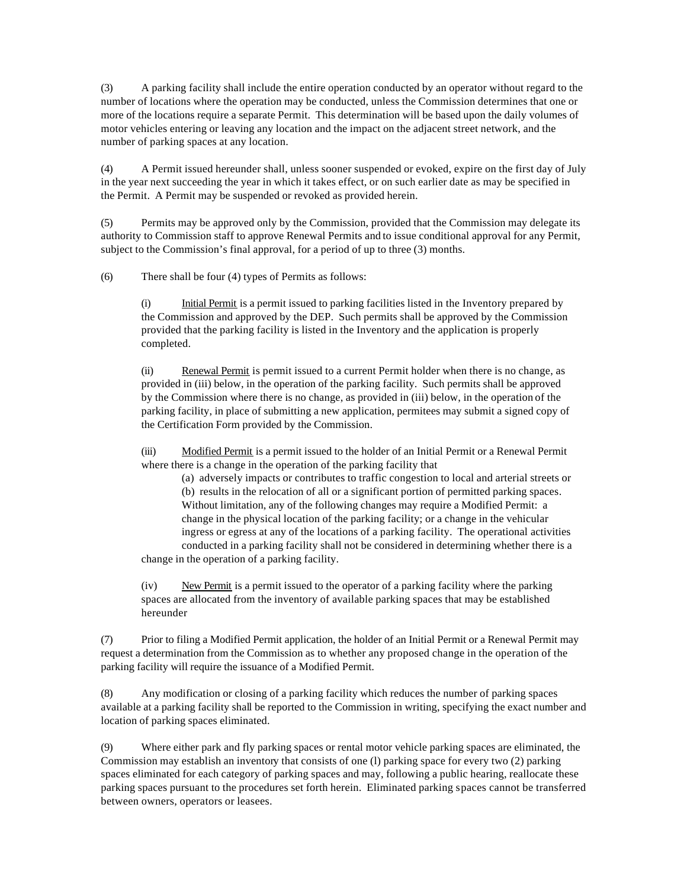(3) A parking facility shall include the entire operation conducted by an operator without regard to the number of locations where the operation may be conducted, unless the Commission determines that one or more of the locations require a separate Permit. This determination will be based upon the daily volumes of motor vehicles entering or leaving any location and the impact on the adjacent street network, and the number of parking spaces at any location.

(4) A Permit issued hereunder shall, unless sooner suspended or evoked, expire on the first day of July in the year next succeeding the year in which it takes effect, or on such earlier date as may be specified in the Permit. A Permit may be suspended or revoked as provided herein.

(5) Permits may be approved only by the Commission, provided that the Commission may delegate its authority to Commission staff to approve Renewal Permits and to issue conditional approval for any Permit, subject to the Commission's final approval, for a period of up to three (3) months.

(6) There shall be four (4) types of Permits as follows:

(i) Initial Permit is a permit issued to parking facilities listed in the Inventory prepared by the Commission and approved by the DEP. Such permits shall be approved by the Commission provided that the parking facility is listed in the Inventory and the application is properly completed.

(ii) Renewal Permit is permit issued to a current Permit holder when there is no change, as provided in (iii) below, in the operation of the parking facility. Such permits shall be approved by the Commission where there is no change, as provided in (iii) below, in the operation of the parking facility, in place of submitting a new application, permitees may submit a signed copy of the Certification Form provided by the Commission.

(iii) Modified Permit is a permit issued to the holder of an Initial Permit or a Renewal Permit where there is a change in the operation of the parking facility that

(a) adversely impacts or contributes to traffic congestion to local and arterial streets or (b) results in the relocation of all or a significant portion of permitted parking spaces. Without limitation, any of the following changes may require a Modified Permit: a change in the physical location of the parking facility; or a change in the vehicular ingress or egress at any of the locations of a parking facility. The operational activities conducted in a parking facility shall not be considered in determining whether there is a change in the operation of a parking facility.

(iv) New Permit is a permit issued to the operator of a parking facility where the parking spaces are allocated from the inventory of available parking spaces that may be established hereunder

(7) Prior to filing a Modified Permit application, the holder of an Initial Permit or a Renewal Permit may request a determination from the Commission as to whether any proposed change in the operation of the parking facility will require the issuance of a Modified Permit.

(8) Any modification or closing of a parking facility which reduces the number of parking spaces available at a parking facility shall be reported to the Commission in writing, specifying the exact number and location of parking spaces eliminated.

(9) Where either park and fly parking spaces or rental motor vehicle parking spaces are eliminated, the Commission may establish an inventory that consists of one (l) parking space for every two (2) parking spaces eliminated for each category of parking spaces and may, following a public hearing, reallocate these parking spaces pursuant to the procedures set forth herein. Eliminated parking spaces cannot be transferred between owners, operators or leasees.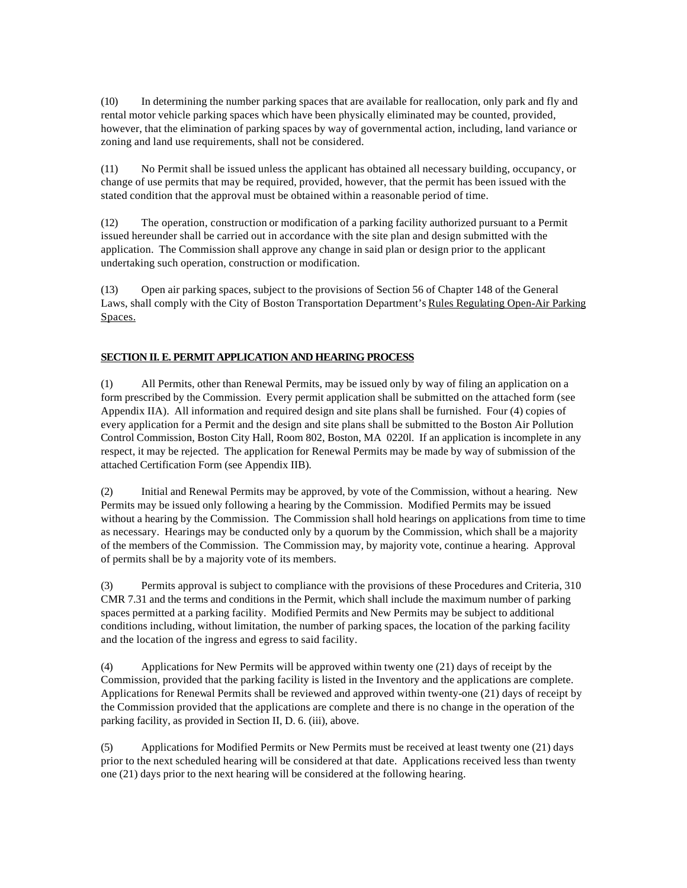(10) In determining the number parking spaces that are available for reallocation, only park and fly and rental motor vehicle parking spaces which have been physically eliminated may be counted, provided, however, that the elimination of parking spaces by way of governmental action, including, land variance or zoning and land use requirements, shall not be considered.

(11) No Permit shall be issued unless the applicant has obtained all necessary building, occupancy, or change of use permits that may be required, provided, however, that the permit has been issued with the stated condition that the approval must be obtained within a reasonable period of time.

(12) The operation, construction or modification of a parking facility authorized pursuant to a Permit issued hereunder shall be carried out in accordance with the site plan and design submitted with the application. The Commission shall approve any change in said plan or design prior to the applicant undertaking such operation, construction or modification.

(13) Open air parking spaces, subject to the provisions of Section 56 of Chapter 148 of the General Laws, shall comply with the City of Boston Transportation Department's Rules Regulating Open-Air Parking Spaces.

## **SECTION II. E. PERMIT APPLICATION AND HEARING PROCESS**

(1) All Permits, other than Renewal Permits, may be issued only by way of filing an application on a form prescribed by the Commission. Every permit application shall be submitted on the attached form (see Appendix IIA). All information and required design and site plans shall be furnished. Four (4) copies of every application for a Permit and the design and site plans shall be submitted to the Boston Air Pollution Control Commission, Boston City Hall, Room 802, Boston, MA 0220l. If an application is incomplete in any respect, it may be rejected. The application for Renewal Permits may be made by way of submission of the attached Certification Form (see Appendix IIB).

(2) Initial and Renewal Permits may be approved, by vote of the Commission, without a hearing. New Permits may be issued only following a hearing by the Commission. Modified Permits may be issued without a hearing by the Commission. The Commission shall hold hearings on applications from time to time as necessary. Hearings may be conducted only by a quorum by the Commission, which shall be a majority of the members of the Commission. The Commission may, by majority vote, continue a hearing. Approval of permits shall be by a majority vote of its members.

(3) Permits approval is subject to compliance with the provisions of these Procedures and Criteria, 310 CMR 7.31 and the terms and conditions in the Permit, which shall include the maximum number of parking spaces permitted at a parking facility. Modified Permits and New Permits may be subject to additional conditions including, without limitation, the number of parking spaces, the location of the parking facility and the location of the ingress and egress to said facility.

(4) Applications for New Permits will be approved within twenty one (21) days of receipt by the Commission, provided that the parking facility is listed in the Inventory and the applications are complete. Applications for Renewal Permits shall be reviewed and approved within twenty-one (21) days of receipt by the Commission provided that the applications are complete and there is no change in the operation of the parking facility, as provided in Section II, D. 6. (iii), above.

(5) Applications for Modified Permits or New Permits must be received at least twenty one (21) days prior to the next scheduled hearing will be considered at that date. Applications received less than twenty one (21) days prior to the next hearing will be considered at the following hearing.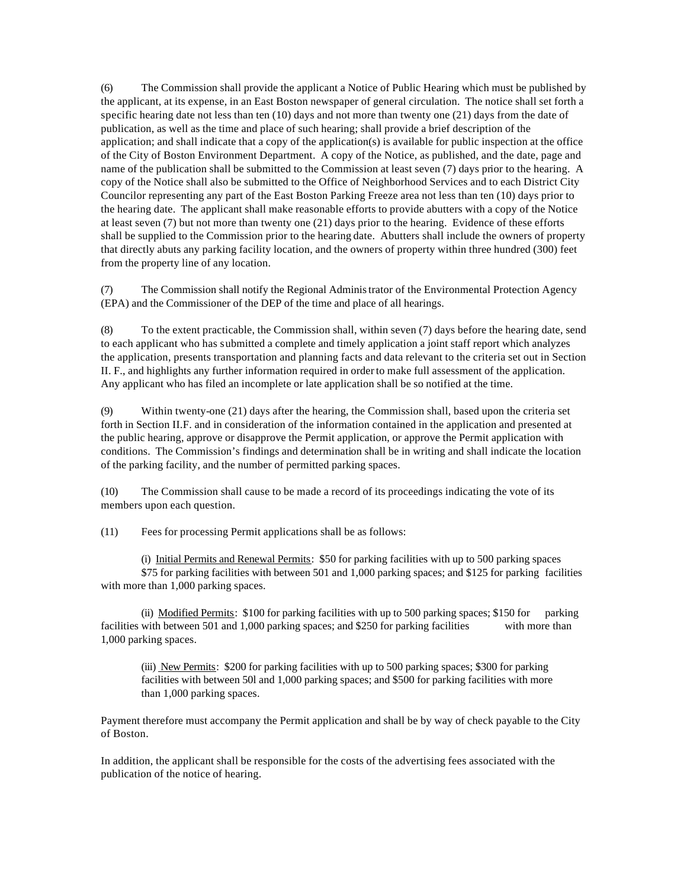(6) The Commission shall provide the applicant a Notice of Public Hearing which must be published by the applicant, at its expense, in an East Boston newspaper of general circulation. The notice shall set forth a specific hearing date not less than ten (10) days and not more than twenty one (21) days from the date of publication, as well as the time and place of such hearing; shall provide a brief description of the application; and shall indicate that a copy of the application(s) is available for public inspection at the office of the City of Boston Environment Department. A copy of the Notice, as published, and the date, page and name of the publication shall be submitted to the Commission at least seven (7) days prior to the hearing. A copy of the Notice shall also be submitted to the Office of Neighborhood Services and to each District City Councilor representing any part of the East Boston Parking Freeze area not less than ten (10) days prior to the hearing date. The applicant shall make reasonable efforts to provide abutters with a copy of the Notice at least seven (7) but not more than twenty one (21) days prior to the hearing. Evidence of these efforts shall be supplied to the Commission prior to the hearing date. Abutters shall include the owners of property that directly abuts any parking facility location, and the owners of property within three hundred (300) feet from the property line of any location.

(7) The Commission shall notify the Regional Administrator of the Environmental Protection Agency (EPA) and the Commissioner of the DEP of the time and place of all hearings.

(8) To the extent practicable, the Commission shall, within seven (7) days before the hearing date, send to each applicant who has submitted a complete and timely application a joint staff report which analyzes the application, presents transportation and planning facts and data relevant to the criteria set out in Section II. F., and highlights any further information required in order to make full assessment of the application. Any applicant who has filed an incomplete or late application shall be so notified at the time.

(9) Within twenty-one (21) days after the hearing, the Commission shall, based upon the criteria set forth in Section II.F. and in consideration of the information contained in the application and presented at the public hearing, approve or disapprove the Permit application, or approve the Permit application with conditions. The Commission's findings and determination shall be in writing and shall indicate the location of the parking facility, and the number of permitted parking spaces.

(10) The Commission shall cause to be made a record of its proceedings indicating the vote of its members upon each question.

(11) Fees for processing Permit applications shall be as follows:

(i) Initial Permits and Renewal Permits: \$50 for parking facilities with up to 500 parking spaces \$75 for parking facilities with between 501 and 1,000 parking spaces; and \$125 for parking facilities with more than 1,000 parking spaces.

(ii) Modified Permits: \$100 for parking facilities with up to 500 parking spaces; \$150 for parking facilities with between 501 and 1,000 parking spaces; and \$250 for parking facilities with more than 1,000 parking spaces.

(iii) New Permits: \$200 for parking facilities with up to 500 parking spaces; \$300 for parking facilities with between 50l and 1,000 parking spaces; and \$500 for parking facilities with more than 1,000 parking spaces.

Payment therefore must accompany the Permit application and shall be by way of check payable to the City of Boston.

In addition, the applicant shall be responsible for the costs of the advertising fees associated with the publication of the notice of hearing.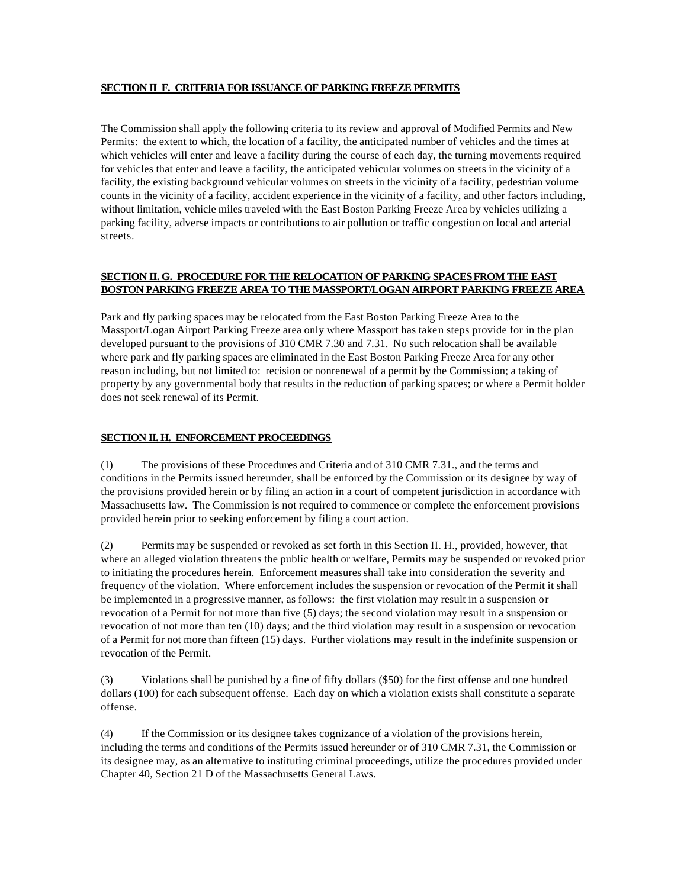## **SECTION II F. CRITERIA FOR ISSUANCE OF PARKING FREEZE PERMITS**

The Commission shall apply the following criteria to its review and approval of Modified Permits and New Permits: the extent to which, the location of a facility, the anticipated number of vehicles and the times at which vehicles will enter and leave a facility during the course of each day, the turning movements required for vehicles that enter and leave a facility, the anticipated vehicular volumes on streets in the vicinity of a facility, the existing background vehicular volumes on streets in the vicinity of a facility, pedestrian volume counts in the vicinity of a facility, accident experience in the vicinity of a facility, and other factors including, without limitation, vehicle miles traveled with the East Boston Parking Freeze Area by vehicles utilizing a parking facility, adverse impacts or contributions to air pollution or traffic congestion on local and arterial streets.

## **SECTION II. G. PROCEDURE FOR THE RELOCATION OF PARKING SPACES FROM THE EAST BOSTON PARKING FREEZE AREA TO THE MASSPORT/LOGAN AIRPORT PARKING FREEZE AREA**

Park and fly parking spaces may be relocated from the East Boston Parking Freeze Area to the Massport/Logan Airport Parking Freeze area only where Massport has taken steps provide for in the plan developed pursuant to the provisions of 310 CMR 7.30 and 7.31. No such relocation shall be available where park and fly parking spaces are eliminated in the East Boston Parking Freeze Area for any other reason including, but not limited to: recision or nonrenewal of a permit by the Commission; a taking of property by any governmental body that results in the reduction of parking spaces; or where a Permit holder does not seek renewal of its Permit.

## **SECTION II. H. ENFORCEMENT PROCEEDINGS**

(1) The provisions of these Procedures and Criteria and of 310 CMR 7.31., and the terms and conditions in the Permits issued hereunder, shall be enforced by the Commission or its designee by way of the provisions provided herein or by filing an action in a court of competent jurisdiction in accordance with Massachusetts law. The Commission is not required to commence or complete the enforcement provisions provided herein prior to seeking enforcement by filing a court action.

(2) Permits may be suspended or revoked as set forth in this Section II. H., provided, however, that where an alleged violation threatens the public health or welfare, Permits may be suspended or revoked prior to initiating the procedures herein. Enforcement measures shall take into consideration the severity and frequency of the violation. Where enforcement includes the suspension or revocation of the Permit it shall be implemented in a progressive manner, as follows: the first violation may result in a suspension or revocation of a Permit for not more than five (5) days; the second violation may result in a suspension or revocation of not more than ten (10) days; and the third violation may result in a suspension or revocation of a Permit for not more than fifteen (15) days. Further violations may result in the indefinite suspension or revocation of the Permit.

(3) Violations shall be punished by a fine of fifty dollars (\$50) for the first offense and one hundred dollars (100) for each subsequent offense. Each day on which a violation exists shall constitute a separate offense.

(4) If the Commission or its designee takes cognizance of a violation of the provisions herein, including the terms and conditions of the Permits issued hereunder or of 310 CMR 7.31, the Commission or its designee may, as an alternative to instituting criminal proceedings, utilize the procedures provided under Chapter 40, Section 21 D of the Massachusetts General Laws.